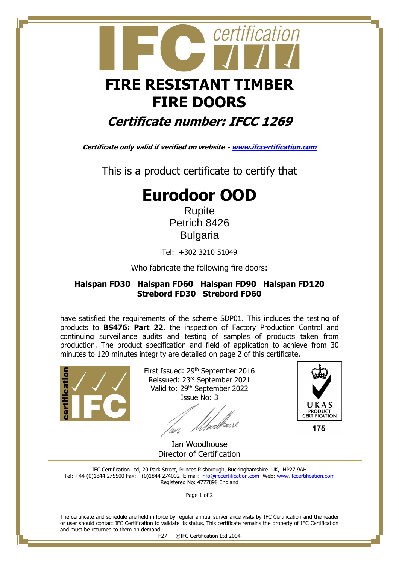

# **FIRE DOORS**

### **Certificate number: IFCC 1269**

**Certificate only valid if verified on website - [www.ifccertification.com](http://www.ifccertification.com/)**

This is a product certificate to certify that

## **Eurodoor OOD**

Rupite Petrich 8426 Bulgaria

Tel: +302 3210 51049

Who fabricate the following fire doors:

#### **Halspan FD30 Halspan FD60 Halspan FD90 Halspan FD120 Strebord FD30 Strebord FD60**

have satisfied the requirements of the scheme SDP01. This includes the testing of products to **BS476: Part 22**, the inspection of Factory Production Control and continuing surveillance audits and testing of samples of products taken from production. The product specification and field of application to achieve from 30 minutes to 120 minutes integrity are detailed on page 2 of this certificate.



First Issued: 29<sup>th</sup> September 2016 Reissued: 23rd September 2021 Valid to: 29<sup>th</sup> September 2022 Issue No: 3

'<br>wellwes2



175

 Ian Woodhouse Director of Certification

IFC Certification Ltd, 20 Park Street, Princes Risborough, Buckinghamshire. UK, HP27 9AH Tel: +44 (0)1844 275500 Fax: +(0)1844 274002 E-mail[: info@ifccertification.com](mailto:info@ifccertification.com) Web: [www.ifccertification.com](http://www.ifccertification.com/) Registered No: 4777898 England

Page 1 of 2

The certificate and schedule are held in force by regular annual surveillance visits by IFC Certification and the reader or user should contact IFC Certification to validate its status. This certificate remains the property of IFC Certification and must be returned to them on demand.

F27 ©IFC Certification Ltd 2004